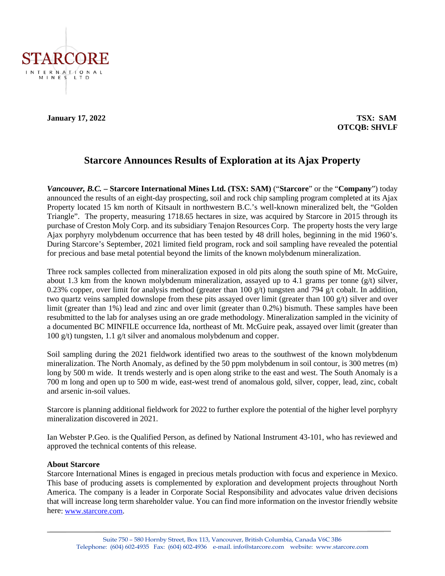

# **January 17, 2022 TSX: SAM OTCQB: SHVLF**

# **Starcore Announces Results of Exploration at its Ajax Property**

*Vancouver, B.C.* **– Starcore International Mines Ltd. (TSX: SAM)** ("**Starcore**" or the "**Company**") today announced the results of an eight-day prospecting, soil and rock chip sampling program completed at its Ajax Property located 15 km north of Kitsault in northwestern B.C.'s well-known mineralized belt, the "Golden Triangle". The property, measuring 1718.65 hectares in size, was acquired by Starcore in 2015 through its purchase of Creston Moly Corp. and its subsidiary Tenajon Resources Corp. The property hosts the very large Ajax porphyry molybdenum occurrence that has been tested by 48 drill holes, beginning in the mid 1960's. During Starcore's September, 2021 limited field program, rock and soil sampling have revealed the potential for precious and base metal potential beyond the limits of the known molybdenum mineralization.

Three rock samples collected from mineralization exposed in old pits along the south spine of Mt. McGuire, about 1.3 km from the known molybdenum mineralization, assayed up to 4.1 grams per tonne  $(g/t)$  silver, 0.23% copper, over limit for analysis method (greater than 100  $g/t$ ) tungsten and 794  $g/t$  cobalt. In addition, two quartz veins sampled downslope from these pits assayed over limit (greater than 100 g/t) silver and over limit (greater than 1%) lead and zinc and over limit (greater than 0.2%) bismuth. These samples have been resubmitted to the lab for analyses using an ore grade methodology. Mineralization sampled in the vicinity of a documented BC MINFILE occurrence Ida, northeast of Mt. McGuire peak, assayed over limit (greater than 100 g/t) tungsten, 1.1 g/t silver and anomalous molybdenum and copper.

Soil sampling during the 2021 fieldwork identified two areas to the southwest of the known molybdenum mineralization. The North Anomaly, as defined by the 50 ppm molybdenum in soil contour, is 300 metres (m) long by 500 m wide. It trends westerly and is open along strike to the east and west. The South Anomaly is a 700 m long and open up to 500 m wide, east-west trend of anomalous gold, silver, copper, lead, zinc, cobalt and arsenic in-soil values.

Starcore is planning additional fieldwork for 2022 to further explore the potential of the higher level porphyry mineralization discovered in 2021.

Ian Webster P.Geo. is the Qualified Person, as defined by National Instrument 43-101, who has reviewed and approved the technical contents of this release.

#### **About Starcore**

Starcore International Mines is engaged in precious metals production with focus and experience in Mexico. This base of producing assets is complemented by exploration and development projects throughout North America. The company is a leader in Corporate Social Responsibility and advocates value driven decisions that will increase long term shareholder value. You can find more information on the investor friendly website here: [www.starcore.com.](http://www.starcore.com/)